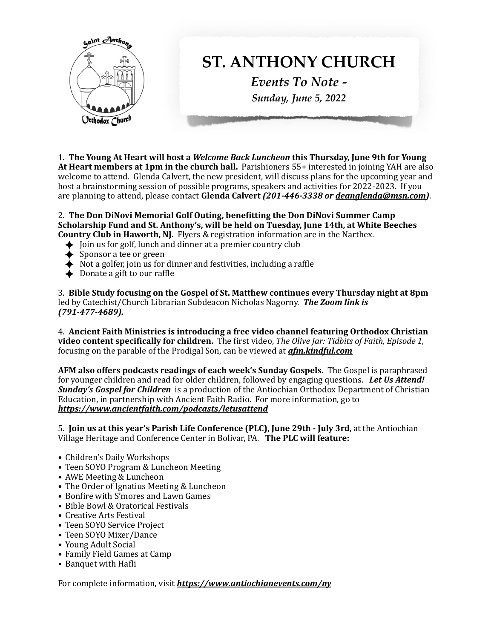

1. The Young At Heart will host a *Welcome Back Luncheon* this Thursday, June 9th for Young At Heart members at 1pm in the church hall. Parishioners 55+ interested in joining YAH are also welcome to attend. Glenda Calvert, the new president, will discuss plans for the upcoming year and host a brainstorming session of possible programs, speakers and activities for 2022-2023. If you are planning to attend, please contact Glenda Calvert (201-446-3338 or deanglenda@msn.com).

2. The Don DiNovi Memorial Golf Outing, benefitting the Don DiNovi Summer Camp **Scholarship Fund and St. Anthony's, will be held on Tuesday, June 14th, at White Beeches Country Club in Haworth, NJ.** Flyers & registration information are in the Narthex.

- $\blacklozenge$  Join us for golf, lunch and dinner at a premier country club
- Sponsor a tee or green
- $\blacklozenge$  Not a golfer, join us for dinner and festivities, including a raffle
- $\triangle$  Donate a gift to our raffle

3. Bible Study focusing on the Gospel of St. Matthew continues every Thursday night at 8pm led by Catechist/Church Librarian Subdeacon Nicholas Nagorny. **The Zoom link is** *(791-477-4689).*

4. Ancient Faith Ministries is introducing a free video channel featuring Orthodox Christian video content specifically for children. The first video, *The Olive Jar: Tidbits of Faith, Episode 1*, focusing on the parable of the Prodigal Son, can be viewed at *afm.kindful.com* 

**AFM** also offers podcasts readings of each week's Sunday Gospels. The Gospel is paraphrased for younger children and read for older children, followed by engaging questions. Let Us Attend! **Sunday's Gospel for Children** is a production of the Antiochian Orthodox Department of Christian Education, in partnership with Ancient Faith Radio. For more information, go to *https://www.ancientfaith.com/podcasts/letusattend* 

5. **Join us at this year's Parish Life Conference (PLC), June 29th - July 3rd,** at the Antiochian Village Heritage and Conference Center in Bolivar, PA. The PLC will feature:

- Children's Daily Workshops
- Teen SOYO Program & Luncheon Meeting
- AWE Meeting & Luncheon
- The Order of Ignatius Meeting & Luncheon
- Bonfire with S'mores and Lawn Games
- Bible Bowl & Oratorical Festivals
- Creative Arts Festival
- **•** Teen SOYO Service Project
- Teen SOYO Mixer/Dance
- Young Adult Social
- **•** Family Field Games at Camp
- Banquet with Hafli

For complete information, visit **https://www.antiochianevents.com/ny**